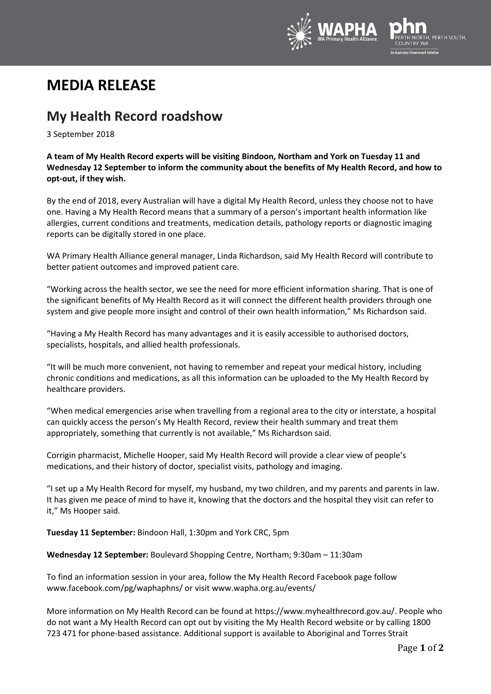

# **MEDIA RELEASE**

## **My Health Record roadshow**

3 September 2018

**A team of My Health Record experts will be visiting Bindoon, Northam and York on Tuesday 11 and Wednesday 12 September to inform the community about the benefits of My Health Record, and how to opt-out, if they wish.**

By the end of 2018, every Australian will have a digital My Health Record, unless they choose not to have one. Having a My Health Record means that a summary of a person's important health information like allergies, current conditions and treatments, medication details, pathology reports or diagnostic imaging reports can be digitally stored in one place.

WA Primary Health Alliance general manager, Linda Richardson, said My Health Record will contribute to better patient outcomes and improved patient care.

"Working across the health sector, we see the need for more efficient information sharing. That is one of the significant benefits of My Health Record as it will connect the different health providers through one system and give people more insight and control of their own health information," Ms Richardson said.

"Having a My Health Record has many advantages and it is easily accessible to authorised doctors, specialists, hospitals, and allied health professionals.

"It will be much more convenient, not having to remember and repeat your medical history, including chronic conditions and medications, as all this information can be uploaded to the My Health Record by healthcare providers.

"When medical emergencies arise when travelling from a regional area to the city or interstate, a hospital can quickly access the person's My Health Record, review their health summary and treat them appropriately, something that currently is not available," Ms Richardson said.

Corrigin pharmacist, Michelle Hooper, said My Health Record will provide a clear view of people's medications, and their history of doctor, specialist visits, pathology and imaging.

"I set up a My Health Record for myself, my husband, my two children, and my parents and parents in law. It has given me peace of mind to have it, knowing that the doctors and the hospital they visit can refer to it," Ms Hooper said.

**Tuesday 11 September:** Bindoon Hall, 1:30pm and York CRC, 5pm

**Wednesday 12 September:** Boulevard Shopping Centre, Northam; 9:30am – 11:30am

To find an information session in your area, follow the My Health Record Facebook page follow www.facebook.com/pg/waphaphns/ or visi[t www.wapha.org.au/events/](http://www.wapha.org.au/events/)

More information on My Health Record can be found a[t https://www.myhealthrecord.gov.au/.](https://www.myhealthrecord.gov.au/) People who do not want a My Health Record can opt out by visiting the My Health Record website or by calling 1800 723 471 for phone-based assistance. Additional support is available to Aboriginal and Torres Strait